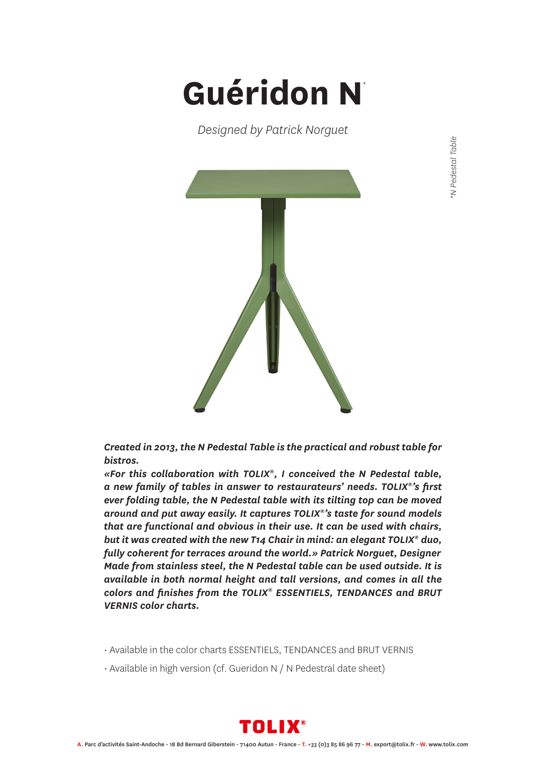## **Guéridon N** *\**

*Designed by Patrick Norguet*



*Created in 2013, the N Pedestal Table is the practical and robust table for bistros.*

*«For this collaboration with TOLIX®, I conceived the N Pedestal table, a new family of tables in answer to restaurateurs' needs. TOLIX®'s first ever folding table, the N Pedestal table with its tilting top can be moved around and put away easily. It captures TOLIX®'s taste for sound models that are functional and obvious in their use. It can be used with chairs, but it was created with the new T14 Chair in mind: an elegant TOLIX® duo, fully coherent for terraces around the world.» Patrick Norguet, Designer Made from stainless steel, the N Pedestal table can be used outside. It is available in both normal height and tall versions, and comes in all the colors and finishes from the TOLIX® ESSENTIELS, TENDANCES and BRUT VERNIS color charts.*

- Available in the color charts ESSENTIELS, TENDANCES and BRUT VERNIS
- Available in high version (cf. Gueridon N / N Pedestral date sheet)